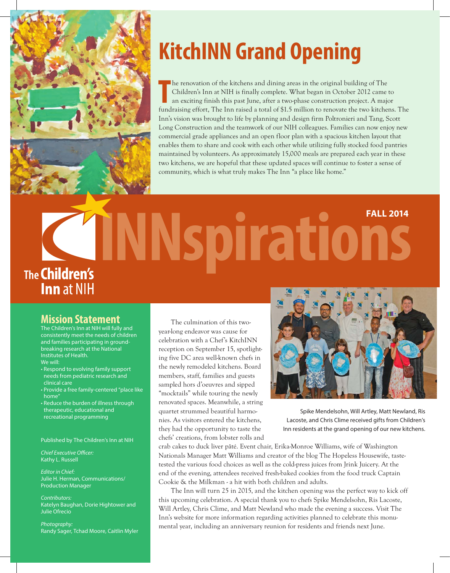

# **KitchINN Grand Opening**

The renovation of the kitchens and dining areas in the original building of The Children's Inn at NIH is finally complete. What began in October 2012 came to an exciting finish this past June, after a two-phase constructio he renovation of the kitchens and dining areas in the original building of The Children's Inn at NIH is finally complete. What began in October 2012 came to an exciting finish this past June, after a two-phase construction project. A major Inn's vision was brought to life by planning and design firm Poltronieri and Tang, Scott Long Construction and the teamwork of our NIH colleagues. Families can now enjoy new commercial grade appliances and an open floor plan with a spacious kitchen layout that enables them to share and cook with each other while utilizing fully stocked food pantries maintained by volunteers. As approximately 15,000 meals are prepared each year in these two kitchens, we are hopeful that these updated spaces will continue to foster a sense of community, which is what truly makes The Inn "a place like home."

# **INNspirationsFALL 2014 The Children's Inn** at NIH

#### **Mission Statement**

The Children's Inn at NIH will fully and consistently meet the needs of children and families participating in groundbreaking research at the National Institutes of Health. We will:

- Respond to evolving family support needs from pediatric research and clinical care
- Provide a free family-centered "place like home"
- Reduce the burden of illness through therapeutic, educational and recreational programming

Published by The Children's Inn at NIH

*Chief Executive Officer:* Kathy L. Russell

*Editor in Chief:* Julie H. Herman, Communications/ Production Manager

*Contributors:* Katelyn Baughan, Dorie Hightower and Julie Ofrecio

*Photography:* Randy Sager, Tchad Moore, Caitlin Myler

The culmination of this twoyear-long endeavor was cause for celebration with a Chef's KitchINN reception on September 15, spotlighting five DC area well-known chefs in the newly remodeled kitchens. Board members, staff, families and guests sampled hors d'oeuvres and sipped "mocktails" while touring the newly renovated spaces. Meanwhile, a string quartet strummed beautiful harmonies. As visitors entered the kitchens, they had the opportunity to taste the chefs' creations, from lobster rolls and



Spike Mendelsohn, Will Artley, Matt Newland, Ris Lacoste, and Chris Clime received gifts from Children's Inn residents at the grand opening of our new kitchens.

crab cakes to duck liver pâté. Event chair, Erika-Monroe Williams, wife of Washington Nationals Manager Matt Williams and creator of the blog The Hopeless Housewife, tastetested the various food choices as well as the cold-press juices from Jrink Juicery. At the end of the evening, attendees received fresh-baked cookies from the food truck Captain Cookie & the Milkman - a hit with both children and adults.

The Inn will turn 25 in 2015, and the kitchen opening was the perfect way to kick off this upcoming celebration. A special thank you to chefs Spike Mendelsohn, Ris Lacoste, Will Artley, Chris Clime, and Matt Newland who made the evening a success. Visit The Inn's website for more information regarding activities planned to celebrate this monumental year, including an anniversary reunion for residents and friends next June.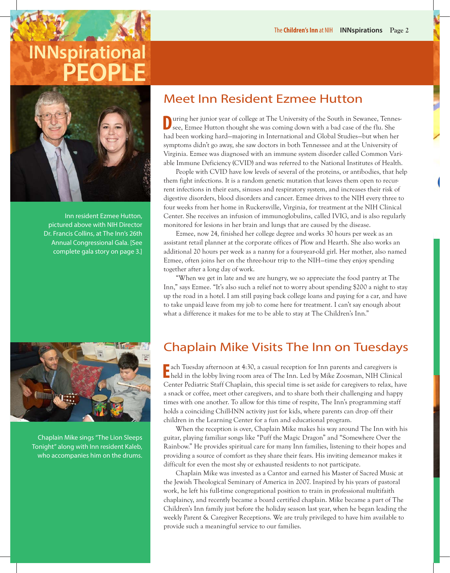## **INNspirational PEOPLE**



Inn resident Ezmee Hutton, pictured above with NIH Director Dr. Francis Collins, at The Inn's 26th Annual Congressional Gala. [See complete gala story on page 3.]



Chaplain Mike sings "The Lion Sleeps Tonight" along with Inn resident Kaleb, who accompanies him on the drums.

## Meet Inn Resident Ezmee Hutton

**<u>uring her junior year of college at The University of the South in Sewanee, Tennes-</u>** see, Ezmee Hutton thought she was coming down with a bad case of the flu. She had been working hard—majoring in International and Global Studies—but when her symptoms didn't go away, she saw doctors in both Tennessee and at the University of Virginia. Ezmee was diagnosed with an immune system disorder called Common Variable Immune Deficiency (CVID) and was referred to the National Institutes of Health.

People with CVID have low levels of several of the proteins, or antibodies, that help them fight infections. It is a random genetic mutation that leaves them open to recurrent infections in their ears, sinuses and respiratory system, and increases their risk of digestive disorders, blood disorders and cancer. Ezmee drives to the NIH every three to four weeks from her home in Ruckersville, Virginia, for treatment at the NIH Clinical Center. She receives an infusion of immunoglobulins, called IVIG, and is also regularly monitored for lesions in her brain and lungs that are caused by the disease.

Ezmee, now 24, finished her college degree and works 30 hours per week as an assistant retail planner at the corporate offices of Plow and Hearth. She also works an additional 20 hours per week as a nanny for a four-year-old girl. Her mother, also named Ezmee, often joins her on the three-hour trip to the NIH—time they enjoy spending together after a long day of work.

"When we get in late and we are hungry, we so appreciate the food pantry at The Inn," says Ezmee. "It's also such a relief not to worry about spending \$200 a night to stay up the road in a hotel. I am still paying back college loans and paying for a car, and have to take unpaid leave from my job to come here for treatment. I can't say enough about what a difference it makes for me to be able to stay at The Children's Inn."

## Chaplain Mike Visits The Inn on Tuesdays

**E** ach Tuesday afternoon at 4:30, a casual reception for Inn parents and caregivers is<br>held in the lobby living room area of The Inn. Led by Mike Zoosman, NIH Clinical held in the lobby living room area of The Inn. Led by Mike Zoosman, NIH Clinical Center Pediatric Staff Chaplain, this special time is set aside for caregivers to relax, have a snack or coffee, meet other caregivers, and to share both their challenging and happy times with one another. To allow for this time of respite, The Inn's programming staff holds a coinciding Chill-INN activity just for kids, where parents can drop off their children in the Learning Center for a fun and educational program.

When the reception is over, Chaplain Mike makes his way around The Inn with his guitar, playing familiar songs like "Puff the Magic Dragon" and "Somewhere Over the Rainbow." He provides spiritual care for many Inn families, listening to their hopes and providing a source of comfort as they share their fears. His inviting demeanor makes it difficult for even the most shy or exhausted residents to not participate.

Chaplain Mike was invested as a Cantor and earned his Master of Sacred Music at the Jewish Theological Seminary of America in 2007. Inspired by his years of pastoral work, he left his full-time congregational position to train in professional multifaith chaplaincy, and recently became a board certified chaplain. Mike became a part of The Children's Inn family just before the holiday season last year, when he began leading the weekly Parent & Caregiver Receptions. We are truly privileged to have him available to provide such a meaningful service to our families.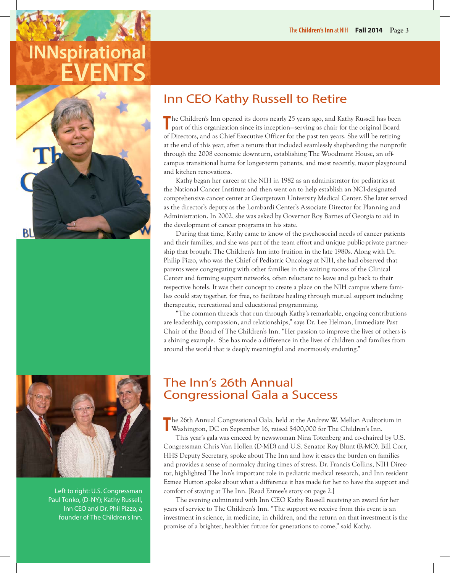## **INNspirational EVENTS**





Left to right: U.S. Congressman Paul Tonko, (D-NY); Kathy Russell, Inn CEO and Dr. Phil Pizzo, a founder of The Children's Inn.

## Inn CEO Kathy Russell to Retire

The Children's Inn opened its doors nearly 25 years ago, and Kathy Russell has been part of this organization since its inception–serving as chair for the original Board part of this organization since its inception—serving as chair for the original Board of Directors, and as Chief Executive Officer for the past ten years. She will be retiring at the end of this year, after a tenure that included seamlessly shepherding the nonprofit through the 2008 economic downturn, establishing The Woodmont House, an offcampus transitional home for longer-term patients, and most recently, major playground and kitchen renovations.

Kathy began her career at the NIH in 1982 as an administrator for pediatrics at the National Cancer Institute and then went on to help establish an NCI-designated comprehensive cancer center at Georgetown University Medical Center. She later served as the director's deputy as the Lombardi Center's Associate Director for Planning and Administration. In 2002, she was asked by Governor Roy Barnes of Georgia to aid in the development of cancer programs in his state.

During that time, Kathy came to know of the psychosocial needs of cancer patients and their families, and she was part of the team effort and unique public-private partnership that brought The Children's Inn into fruition in the late 1980s. Along with Dr. Philip Pizzo, who was the Chief of Pediatric Oncology at NIH, she had observed that parents were congregating with other families in the waiting rooms of the Clinical Center and forming support networks, often reluctant to leave and go back to their respective hotels. It was their concept to create a place on the NIH campus where families could stay together, for free, to facilitate healing through mutual support including therapeutic, recreational and educational programming.

"The common threads that run through Kathy's remarkable, ongoing contributions are leadership, compassion, and relationships," says Dr. Lee Helman, Immediate Past Chair of the Board of The Children's Inn. "Her passion to improve the lives of others is a shining example. She has made a difference in the lives of children and families from around the world that is deeply meaningful and enormously enduring."

### The Inn's 26th Annual Congressional Gala a Success

The 26th Annual Congressional Gala, held at the Andrew W. Mellon Auditori<br>Washington, DC on September 16, raised \$400,000 for The Children's Inn. he 26th Annual Congressional Gala, held at the Andrew W. Mellon Auditorium in

This year's gala was emceed by newswoman Nina Totenberg and co-chaired by U.S. Congressman Chris Van Hollen (D-MD) and U.S. Senator Roy Blunt (R-MO). Bill Corr, HHS Deputy Secretary, spoke about The Inn and how it eases the burden on families and provides a sense of normalcy during times of stress. Dr. Francis Collins, NIH Director, highlighted The Inn's important role in pediatric medical research, and Inn resident Ezmee Hutton spoke about what a difference it has made for her to have the support and comfort of staying at The Inn. [Read Ezmee's story on page 2.]

The evening culminated with Inn CEO Kathy Russell receiving an award for her years of service to The Children's Inn. "The support we receive from this event is an investment in science, in medicine, in children, and the return on that investment is the promise of a brighter, healthier future for generations to come," said Kathy.